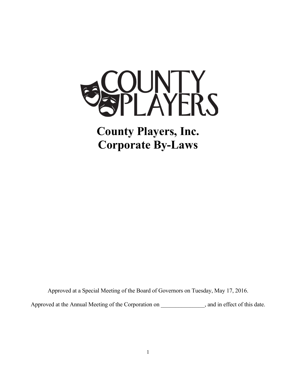

**County Players, Inc. Corporate By-Laws**

Approved at a Special Meeting of the Board of Governors on Tuesday, May 17, 2016.

Approved at the Annual Meeting of the Corporation on \_\_\_\_\_\_\_\_\_\_\_\_\_, and in effect of this date.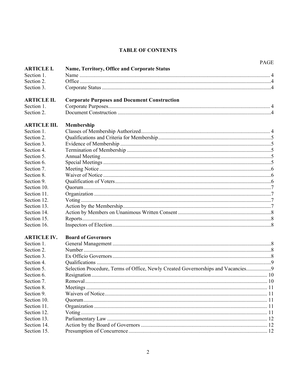# **TABLE OF CONTENTS**

| <b>ARTICLE I.</b><br>Name, Territory, Office and Corporate Status<br>Section 1.<br>Section 2.<br>Section 3.<br><b>Corporate Purposes and Document Construction</b><br><b>ARTICLE II.</b><br>Section 1.<br>Section 2.<br><b>ARTICLE III.</b><br>Membership<br>Section 1.<br>Section 2.<br>Section 3.<br>Section 4.<br>Section 5.<br>Section 6.<br>Section 7.<br>Section 8.<br>Section 9.<br>Section 10.<br>Section 11.<br>Section 12.<br>Section 13.<br>Section 14.<br>Section 16.<br><b>Board of Governors</b><br><b>ARTICLE IV.</b><br>Section 1.<br>Section 2.<br>Section 3.<br>Section 4.<br>Section 5.<br>Selection Procedure, Terms of Office, Newly Created Governorships and Vacancies<br>Section 6.<br>Section 7.<br>Section 8.<br>Section 9.<br>Section 10.<br>Section 11.<br>Section 12.<br>Section 13.<br>Section 14.<br>Section 15. |             |  | <b>PAGE</b> |  |
|-------------------------------------------------------------------------------------------------------------------------------------------------------------------------------------------------------------------------------------------------------------------------------------------------------------------------------------------------------------------------------------------------------------------------------------------------------------------------------------------------------------------------------------------------------------------------------------------------------------------------------------------------------------------------------------------------------------------------------------------------------------------------------------------------------------------------------------------------|-------------|--|-------------|--|
|                                                                                                                                                                                                                                                                                                                                                                                                                                                                                                                                                                                                                                                                                                                                                                                                                                                 |             |  |             |  |
|                                                                                                                                                                                                                                                                                                                                                                                                                                                                                                                                                                                                                                                                                                                                                                                                                                                 |             |  |             |  |
|                                                                                                                                                                                                                                                                                                                                                                                                                                                                                                                                                                                                                                                                                                                                                                                                                                                 |             |  |             |  |
|                                                                                                                                                                                                                                                                                                                                                                                                                                                                                                                                                                                                                                                                                                                                                                                                                                                 |             |  |             |  |
|                                                                                                                                                                                                                                                                                                                                                                                                                                                                                                                                                                                                                                                                                                                                                                                                                                                 |             |  |             |  |
|                                                                                                                                                                                                                                                                                                                                                                                                                                                                                                                                                                                                                                                                                                                                                                                                                                                 |             |  |             |  |
|                                                                                                                                                                                                                                                                                                                                                                                                                                                                                                                                                                                                                                                                                                                                                                                                                                                 |             |  |             |  |
|                                                                                                                                                                                                                                                                                                                                                                                                                                                                                                                                                                                                                                                                                                                                                                                                                                                 |             |  |             |  |
|                                                                                                                                                                                                                                                                                                                                                                                                                                                                                                                                                                                                                                                                                                                                                                                                                                                 |             |  |             |  |
|                                                                                                                                                                                                                                                                                                                                                                                                                                                                                                                                                                                                                                                                                                                                                                                                                                                 |             |  |             |  |
|                                                                                                                                                                                                                                                                                                                                                                                                                                                                                                                                                                                                                                                                                                                                                                                                                                                 |             |  |             |  |
|                                                                                                                                                                                                                                                                                                                                                                                                                                                                                                                                                                                                                                                                                                                                                                                                                                                 |             |  |             |  |
|                                                                                                                                                                                                                                                                                                                                                                                                                                                                                                                                                                                                                                                                                                                                                                                                                                                 |             |  |             |  |
|                                                                                                                                                                                                                                                                                                                                                                                                                                                                                                                                                                                                                                                                                                                                                                                                                                                 |             |  |             |  |
|                                                                                                                                                                                                                                                                                                                                                                                                                                                                                                                                                                                                                                                                                                                                                                                                                                                 |             |  |             |  |
|                                                                                                                                                                                                                                                                                                                                                                                                                                                                                                                                                                                                                                                                                                                                                                                                                                                 |             |  |             |  |
|                                                                                                                                                                                                                                                                                                                                                                                                                                                                                                                                                                                                                                                                                                                                                                                                                                                 |             |  |             |  |
|                                                                                                                                                                                                                                                                                                                                                                                                                                                                                                                                                                                                                                                                                                                                                                                                                                                 |             |  |             |  |
|                                                                                                                                                                                                                                                                                                                                                                                                                                                                                                                                                                                                                                                                                                                                                                                                                                                 |             |  |             |  |
|                                                                                                                                                                                                                                                                                                                                                                                                                                                                                                                                                                                                                                                                                                                                                                                                                                                 |             |  |             |  |
|                                                                                                                                                                                                                                                                                                                                                                                                                                                                                                                                                                                                                                                                                                                                                                                                                                                 |             |  |             |  |
|                                                                                                                                                                                                                                                                                                                                                                                                                                                                                                                                                                                                                                                                                                                                                                                                                                                 |             |  |             |  |
|                                                                                                                                                                                                                                                                                                                                                                                                                                                                                                                                                                                                                                                                                                                                                                                                                                                 | Section 15. |  |             |  |
|                                                                                                                                                                                                                                                                                                                                                                                                                                                                                                                                                                                                                                                                                                                                                                                                                                                 |             |  |             |  |
|                                                                                                                                                                                                                                                                                                                                                                                                                                                                                                                                                                                                                                                                                                                                                                                                                                                 |             |  |             |  |
|                                                                                                                                                                                                                                                                                                                                                                                                                                                                                                                                                                                                                                                                                                                                                                                                                                                 |             |  |             |  |
|                                                                                                                                                                                                                                                                                                                                                                                                                                                                                                                                                                                                                                                                                                                                                                                                                                                 |             |  |             |  |
|                                                                                                                                                                                                                                                                                                                                                                                                                                                                                                                                                                                                                                                                                                                                                                                                                                                 |             |  |             |  |
|                                                                                                                                                                                                                                                                                                                                                                                                                                                                                                                                                                                                                                                                                                                                                                                                                                                 |             |  |             |  |
|                                                                                                                                                                                                                                                                                                                                                                                                                                                                                                                                                                                                                                                                                                                                                                                                                                                 |             |  |             |  |
|                                                                                                                                                                                                                                                                                                                                                                                                                                                                                                                                                                                                                                                                                                                                                                                                                                                 |             |  |             |  |
|                                                                                                                                                                                                                                                                                                                                                                                                                                                                                                                                                                                                                                                                                                                                                                                                                                                 |             |  |             |  |
|                                                                                                                                                                                                                                                                                                                                                                                                                                                                                                                                                                                                                                                                                                                                                                                                                                                 |             |  |             |  |
|                                                                                                                                                                                                                                                                                                                                                                                                                                                                                                                                                                                                                                                                                                                                                                                                                                                 |             |  |             |  |
|                                                                                                                                                                                                                                                                                                                                                                                                                                                                                                                                                                                                                                                                                                                                                                                                                                                 |             |  |             |  |
|                                                                                                                                                                                                                                                                                                                                                                                                                                                                                                                                                                                                                                                                                                                                                                                                                                                 |             |  |             |  |
|                                                                                                                                                                                                                                                                                                                                                                                                                                                                                                                                                                                                                                                                                                                                                                                                                                                 |             |  |             |  |
|                                                                                                                                                                                                                                                                                                                                                                                                                                                                                                                                                                                                                                                                                                                                                                                                                                                 |             |  |             |  |
|                                                                                                                                                                                                                                                                                                                                                                                                                                                                                                                                                                                                                                                                                                                                                                                                                                                 |             |  |             |  |
|                                                                                                                                                                                                                                                                                                                                                                                                                                                                                                                                                                                                                                                                                                                                                                                                                                                 |             |  |             |  |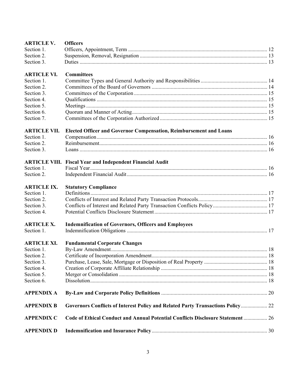| <b>ARTICLE V.</b>   | <b>Officers</b>                                                                 |  |  |
|---------------------|---------------------------------------------------------------------------------|--|--|
| Section 1.          |                                                                                 |  |  |
| Section 2.          |                                                                                 |  |  |
| Section 3.          |                                                                                 |  |  |
| <b>ARTICLE VI.</b>  | <b>Committees</b>                                                               |  |  |
| Section 1.          |                                                                                 |  |  |
| Section 2.          |                                                                                 |  |  |
| Section 3.          |                                                                                 |  |  |
| Section 4.          |                                                                                 |  |  |
| Section 5.          |                                                                                 |  |  |
| Section 6.          |                                                                                 |  |  |
| Section 7.          |                                                                                 |  |  |
| <b>ARTICLE VII.</b> | <b>Elected Officer and Governor Compensation, Reimbursement and Loans</b>       |  |  |
| Section 1.          |                                                                                 |  |  |
| Section 2.          |                                                                                 |  |  |
| Section 3.          |                                                                                 |  |  |
|                     | <b>ARTICLE VIII.</b> Fiscal Year and Independent Financial Audit                |  |  |
| Section 1.          |                                                                                 |  |  |
| Section 2.          |                                                                                 |  |  |
| <b>ARTICLE IX.</b>  | <b>Statutory Compliance</b>                                                     |  |  |
| Section 1.          |                                                                                 |  |  |
| Section 2.          |                                                                                 |  |  |
| Section 3.          |                                                                                 |  |  |
| Section 4.          |                                                                                 |  |  |
| <b>ARTICLE X.</b>   | <b>Indemnification of Governors, Officers and Employees</b>                     |  |  |
| Section 1.          |                                                                                 |  |  |
| <b>ARTICLE XI.</b>  | <b>Fundamental Corporate Changes</b>                                            |  |  |
| Section 1.          |                                                                                 |  |  |
| Section 2.          |                                                                                 |  |  |
| Section 3.          |                                                                                 |  |  |
| Section 4.          |                                                                                 |  |  |
| Section 5.          |                                                                                 |  |  |
| Section 6.          |                                                                                 |  |  |
| <b>APPENDIX A</b>   |                                                                                 |  |  |
| <b>APPENDIX B</b>   | Governors Conflicts of Interest Policy and Related Party Transactions Policy 22 |  |  |
| <b>APPENDIX C</b>   | Code of Ethical Conduct and Annual Potential Conflicts Disclosure Statement  26 |  |  |
| <b>APPENDIX D</b>   |                                                                                 |  |  |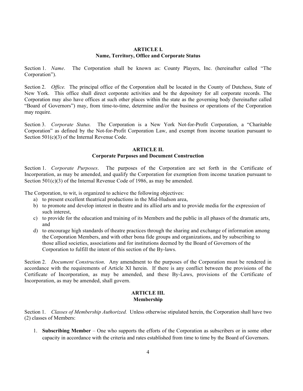### **ARTICLE I. Name, Territory, Office and Corporate Status**

Section 1. *Name*. The Corporation shall be known as: County Players, Inc. (hereinafter called "The Corporation").

Section 2. *Office.* The principal office of the Corporation shall be located in the County of Dutchess, State of New York. This office shall direct corporate activities and be the depository for all corporate records. The Corporation may also have offices at such other places within the state as the governing body (hereinafter called "Board of Governors") may, from time-to-time, determine and/or the business or operations of the Corporation may require.

Section 3. *Corporate Status.* The Corporation is a New York Not-for-Profit Corporation, a "Charitable Corporation" as defined by the Not-for-Profit Corporation Law, and exempt from income taxation pursuant to Section 501(c)(3) of the Internal Revenue Code.

# **ARTICLE II.**

# **Corporate Purposes and Document Construction**

Section 1. *Corporate Purposes*. The purposes of the Corporation are set forth in the Certificate of Incorporation, as may be amended, and qualify the Corporation for exemption from income taxation pursuant to Section 501(c)(3) of the Internal Revenue Code of 1986, as may be amended.

The Corporation, to wit, is organized to achieve the following objectives:

- a) to present excellent theatrical productions in the Mid-Hudson area,
- b) to promote and develop interest in theatre and its allied arts and to provide media for the expression of such interest,
- c) to provide for the education and training of its Members and the public in all phases of the dramatic arts, and
- d) to encourage high standards of theatre practices through the sharing and exchange of information among the Corporation Members, and with other bona fide groups and organizations, and by subscribing to those allied societies, associations and for institutions deemed by the Board of Governors of the Corporation to fulfill the intent of this section of the By-laws.

Section 2. *Document Construction*. Any amendment to the purposes of the Corporation must be rendered in accordance with the requirements of Article XI herein. If there is any conflict between the provisions of the Certificate of Incorporation, as may be amended, and these By-Laws, provisions of the Certificate of Incorporation, as may be amended, shall govern.

#### **ARTICLE III. Membership**

Section 1. *Classes of Membership Authorized.* Unless otherwise stipulated herein, the Corporation shall have two (2) classes of Members:

1. **Subscribing Member** – One who supports the efforts of the Corporation as subscribers or in some other capacity in accordance with the criteria and rates established from time to time by the Board of Governors.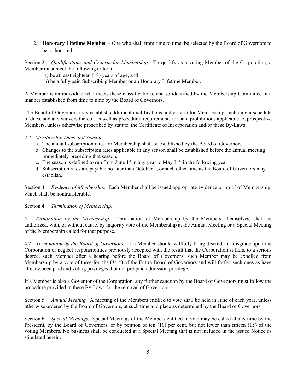2. **Honorary Lifetime Member** – One who shall from time to time, be selected by the Board of Governors to be so honored.

Section 2. *Qualifications and Criteria for Membership.* To qualify as a voting Member of the Corporation, a Member must meet the following criteria:

a) be at least eighteen (18) years of age, and

b) be a fully paid Subscribing Member or an Honorary Lifetime Member.

A Member is an individual who meets these classifications, and so identified by the Membership Committee in a manner established from time to time by the Board of Governors.

The Board of Governors may establish additional qualifications and criteria for Membership, including a schedule of dues, and any waivers thereof, as well as procedural requirements for, and prohibitions applicable to, prospective Members, unless otherwise proscribed by statute, the Certificate of Incorporation and/or these By-Laws.

# *2.1. Membership Dues and Season*.

- a. The annual subscription rates for Membership shall be established by the Board of Governors.
- b. Changes to the subscription rates applicable in any season shall be established before the annual meeting immediately preceding that season.
- c. The season is defined to run from June  $1<sup>st</sup>$  in any year to May  $31<sup>st</sup>$  in the following year.
- d. Subscription rates are payable no later than October 1, or such other time as the Board of Governors may establish.

Section 3. *Evidence of Membership.* Each Member shall be issued appropriate evidence or proof of Membership, which shall be nontransferable.

Section 4. *Termination of Membership*.

4.1. *Termination by the Membership.* Termination of Membership by the Members, themselves, shall be authorized, with, or without cause, by majority vote of the Membership at the Annual Meeting or a Special Meeting of the Membership called for that purpose.

4.2. *Termination by the Board of Governors.* If a Member should willfully bring discredit or disgrace upon the Corporation or neglect responsibilities previously accepted with the result that the Corporation suffers, to a serious degree, such Member after a hearing before the Board of Governors, such Member may be expelled from Membership by a vote of three-fourths  $(3/4<sup>th</sup>)$  of the Entire Board of Governors and will forfeit such dues as have already been paid and voting privileges, but not pre-paid admission privilege.

If a Member is also a Governor of the Corporation, any further sanction by the Board of Governors must follow the procedure provided in these By-Laws for the removal of Governors.

Section 5. *Annual Meeting.* A meeting of the Members entitled to vote shall be held in June of each year, unless otherwise ordered by the Board of Governors, at such time and place as determined by the Board of Governors.

Section 6. *Special Meetings.* Special Meetings of the Members entitled to vote may be called at any time by the President, by the Board of Governors, or by petition of ten (10) per cent, but not fewer than fifteen (15) of the voting Members. No business shall be conducted at a Special Meeting that is not included in the issued Notice as stipulated herein.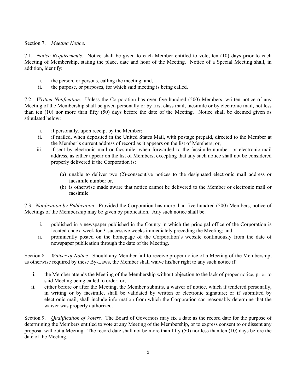Section 7. *Meeting Notice*.

7.1. *Notice Requirements.* Notice shall be given to each Member entitled to vote, ten (10) days prior to each Meeting of Membership, stating the place, date and hour of the Meeting. Notice of a Special Meeting shall, in addition, identify:

- i. the person, or persons, calling the meeting; and,
- ii. the purpose, or purposes, for which said meeting is being called.

7.2. *Written Notification*. Unless the Corporation has over five hundred (500) Members, written notice of any Meeting of the Membership shall be given personally or by first class mail, facsimile or by electronic mail, not less than ten (10) nor more than fifty (50) days before the date of the Meeting. Notice shall be deemed given as stipulated below:

- i. if personally, upon receipt by the Member;
- ii. if mailed, when deposited in the United States Mail, with postage prepaid, directed to the Member at the Member's current address of record as it appears on the list of Members; or,
- iii. if sent by electronic mail or facsimile, when forwarded to the facsimile number, or electronic mail address, as either appear on the list of Members, excepting that any such notice shall not be considered properly delivered if the Corporation is:
	- (a) unable to deliver two (2)-consecutive notices to the designated electronic mail address or facsimile number or,
	- (b) is otherwise made aware that notice cannot be delivered to the Member or electronic mail or facsimile.

7.3. *Notification by Publication.* Provided the Corporation has more than five hundred (500) Members, notice of Meetings of the Membership may be given by publication. Any such notice shall be:

- i. published in a newspaper published in the County in which the principal office of the Corporation is located once a week for 3-successive weeks immediately preceding the Meeting; and,
- ii. prominently posted on the homepage of the Corporation's website continuously from the date of newspaper publication through the date of the Meeting.

Section 8. *Waiver of Notice.* Should any Member fail to receive proper notice of a Meeting of the Membership, as otherwise required by these By-Laws, the Member shall waive his/her right to any such notice if:

- i. the Member attends the Meeting of the Membership without objection to the lack of proper notice, prior to said Meeting being called to order; or,
- ii. either before or after the Meeting, the Member submits, a waiver of notice, which if tendered personally, in writing or by facsimile, shall be validated by written or electronic signature; or if submitted by electronic mail, shall include information from which the Corporation can reasonably determine that the waiver was properly authorized.

Section 9. *Qualification of Voters.* The Board of Governors may fix a date as the record date for the purpose of determining the Members entitled to vote at any Meeting of the Membership, or to express consent to or dissent any proposal without a Meeting. The record date shall not be more than fifty (50) nor less than ten (10) days before the date of the Meeting.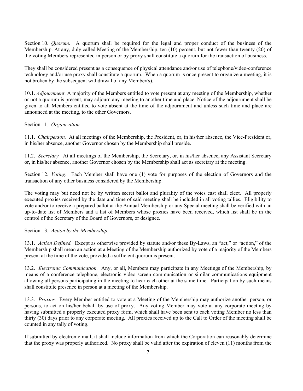Section 10. *Quorum*. A quorum shall be required for the legal and proper conduct of the business of the Membership. At any, duly called Meeting of the Membership, ten (10) percent, but not fewer than twenty (20) of the voting Members represented in person or by proxy shall constitute a quorum for the transaction of business.

They shall be considered present as a consequence of physical attendance and/or use of telephone/video-conference technology and/or use proxy shall constitute a quorum. When a quorum is once present to organize a meeting, it is not broken by the subsequent withdrawal of any Member(s).

10.1. *Adjournment*. A majority of the Members entitled to vote present at any meeting of the Membership, whether or not a quorum is present, may adjourn any meeting to another time and place. Notice of the adjournment shall be given to all Members entitled to vote absent at the time of the adjournment and unless such time and place are announced at the meeting, to the other Governors.

# Section 11. *Organization.*

11.1. *Chairperson.* At all meetings of the Membership, the President, or, in his/her absence, the Vice-President or, in his/her absence, another Governor chosen by the Membership shall preside.

11.2. *Secretary.* At all meetings of the Membership, the Secretary, or, in his/her absence, any Assistant Secretary or, in his/her absence, another Governor chosen by the Membership shall act as secretary at the meeting.

Section 12. *Voting.* Each Member shall have one (1) vote for purposes of the election of Governors and the transaction of any other business considered by the Membership.

The voting may but need not be by written secret ballot and plurality of the votes cast shall elect. All properly executed proxies received by the date and time of said meeting shall be included in all voting tallies. Eligibility to vote and/or to receive a prepared ballot at the Annual Membership or any Special meeting shall be verified with an up-to-date list of Members and a list of Members whose proxies have been received, which list shall be in the control of the Secretary of the Board of Governors, or designee.

### Section 13. *Action by the Membership.*

13.1. *Action Defined.* Except as otherwise provided by statute and/or these By-Laws, an "act," or "action," of the Membership shall mean an action at a Meeting of the Membership authorized by vote of a majority of the Members present at the time of the vote, provided a sufficient quorum is present.

13.2. *Electronic Communication.* Any, or all, Members may participate in any Meetings of the Membership, by means of a conference telephone, electronic video screen communication or similar communications equipment allowing all persons participating in the meeting to hear each other at the same time. Participation by such means shall constitute presence in person at a meeting of the Membership.

13.3. *Proxies.* Every Member entitled to vote at a Meeting of the Membership may authorize another person, or persons, to act on his/her behalf by use of proxy. Any voting Member may vote at any corporate meeting by having submitted a properly executed proxy form, which shall have been sent to each voting Member no less than thirty (30) days prior to any corporate meeting. All proxies received up to the Call to Order of the meeting shall be counted in any tally of voting.

If submitted by electronic mail, it shall include information from which the Corporation can reasonably determine that the proxy was properly authorized. No proxy shall be valid after the expiration of eleven (11) months from the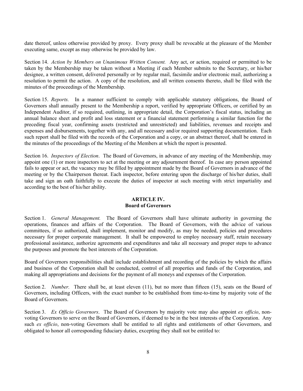date thereof, unless otherwise provided by proxy. Every proxy shall be revocable at the pleasure of the Member executing same, except as may otherwise be provided by law.

Section 14. *Action by Members on Unanimous Written Consent.* Any act, or action, required or permitted to be taken by the Membership may be taken without a Meeting if each Member submits to the Secretary, or his/her designee, a written consent, delivered personally or by regular mail, facsimile and/or electronic mail, authorizing a resolution to permit the action. A copy of the resolution, and all written consents thereto, shall be filed with the minutes of the proceedings of the Membership.

Section 15. *Reports*. In a manner sufficient to comply with applicable statutory obligations, the Board of Governors shall annually present to the Membership a report, verified by appropriate Officers, or certified by an Independent Auditor, if so required, outlining, in appropriate detail, the Corporation's fiscal status, including an annual balance sheet and profit and loss statement or a financial statement performing a similar function for the preceding fiscal year, confirming assets (restricted and unrestricted) and liabilities, revenues and receipts and expenses and disbursements, together with any, and all necessary and/or required supporting documentation. Each such report shall be filed with the records of the Corporation and a copy, or an abstract thereof, shall be entered in the minutes of the proceedings of the Meeting of the Members at which the report is presented.

Section 16. *Inspectors of Election*. The Board of Governors, in advance of any meeting of the Membership, may appoint one (1) or more inspectors to act at the meeting or any adjournment thereof. In case any person appointed fails to appear or act, the vacancy may be filled by appointment made by the Board of Governors in advance of the meeting or by the Chairperson thereat. Each inspector, before entering upon the discharge of his/her duties, shall take and sign an oath faithfully to execute the duties of inspector at such meeting with strict impartiality and according to the best of his/her ability.

### **ARTICLE IV. Board of Governors**

Section 1. *General Management.* The Board of Governors shall have ultimate authority in governing the operations, finances and affairs of the Corporation. The Board of Governors, with the advice of various committees, if so authorized, shall implement, monitor and modify, as may be needed, policies and procedures necessary for proper corporate management. It shall be empowered to employ necessary staff, retain necessary professional assistance, authorize agreements and expenditures and take all necessary and proper steps to advance the purposes and promote the best interests of the Corporation.

Board of Governors responsibilities shall include establishment and recording of the policies by which the affairs and business of the Corporation shall be conducted, control of all properties and funds of the Corporation, and making all appropriations and decisions for the payment of all moneys and expenses of the Corporation.

Section 2. *Number*. There shall be, at least eleven (11), but no more than fifteen (15), seats on the Board of Governors, including Officers, with the exact number to be established from time-to-time by majority vote of the Board of Governors.

Section 3. *Ex Officio Governors*. The Board of Governors by majority vote may also appoint *ex officio*, nonvoting Governors to serve on the Board of Governors, if deemed to be in the best interests of the Corporation. Any such *ex officio*, non-voting Governors shall be entitled to all rights and entitlements of other Governors, and obligated to honor all corresponding fiduciary duties, excepting they shall not be entitled to: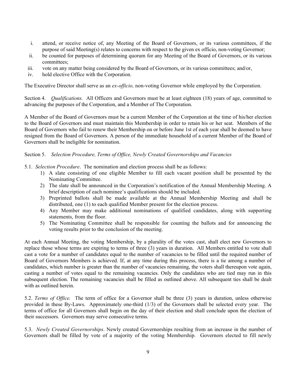- i. attend, or receive notice of, any Meeting of the Board of Governors, or its various committees, if the purpose of said Meeting(s) relates to concerns with respect to the given ex officio, non-voting Governor;
- ii. be counted for purposes of determining quorum for any Meeting of the Board of Governors, or its various committees;
- iii. vote on any matter being considered by the Board of Governors, or its various committees; and/or,
- iv. hold elective Office with the Corporation.

The Executive Director shall serve as an *ex-officio,* non-voting Governor while employed by the Corporation.

Section 4. *Qualifications.* All Officers and Governors must be at least eighteen (18) years of age, committed to advancing the purposes of the Corporation, and a Member of The Corporation.

A Member of the Board of Governors must be a current Member of the Corporation at the time of his/her election to the Board of Governors and must maintain this Membership in order to retain his or her seat. Members of the Board of Governors who fail to renew their Membership on or before June 1st of each year shall be deemed to have resigned from the Board of Governors. A person of the immediate household of a current Member of the Board of Governors shall be ineligible for nomination.

# Section 5. *Selection Procedure, Terms of Office, Newly Created Governorships and Vacancies*

- 5.1. *Selection Procedure*. The nomination and election process shall be as follows:
	- 1) A slate consisting of one eligible Member to fill each vacant position shall be presented by the Nominating Committee.
	- 2) The slate shall be announced in the Corporation's notification of the Annual Membership Meeting. A brief description of each nominee's qualifications should be included.
	- 3) Preprinted ballots shall be made available at the Annual Membership Meeting and shall be distributed, one (1) to each qualified Member present for the election process.
	- 4) Any Member may make additional nominations of qualified candidates, along with supporting statements, from the floor.
	- 5) The Nominating Committee shall be responsible for counting the ballots and for announcing the voting results prior to the conclusion of the meeting.

At each Annual Meeting, the voting Membership, by a plurality of the votes cast, shall elect new Governors to replace those whose terms are expiring to terms of three (3) years in duration. All Members entitled to vote shall cast a vote for a number of candidates equal to the number of vacancies to be filled until the required number of Board of Governors Members is achieved. If, at any time during this process, there is a tie among a number of candidates, which number is greater than the number of vacancies remaining, the voters shall thereupon vote again, casting a number of votes equal to the remaining vacancies. Only the candidates who are tied may run in this subsequent election. The remaining vacancies shall be filled as outlined above. All subsequent ties shall be dealt with as outlined herein.

5.2. *Terms of Office.* The term of office for a Governor shall be three (3) years in duration, unless otherwise provided in these By-Laws. Approximately one-third (1/3) of the Governors shall be selected every year. The terms of office for all Governors shall begin on the day of their election and shall conclude upon the election of their successors. Governors may serve consecutive terms.

5.3. *Newly Created Governorships*. Newly created Governorships resulting from an increase in the number of Governors shall be filled by vote of a majority of the voting Membership. Governors elected to fill newly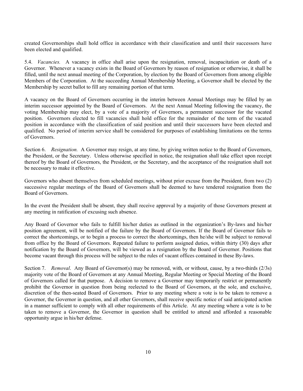created Governorships shall hold office in accordance with their classification and until their successors have been elected and qualified.

5.4. *Vacancies.* A vacancy in office shall arise upon the resignation, removal, incapacitation or death of a Governor. Whenever a vacancy exists in the Board of Governors by reason of resignation or otherwise, it shall be filled, until the next annual meeting of the Corporation, by election by the Board of Governors from among eligible Members of the Corporation. At the succeeding Annual Membership Meeting, a Governor shall be elected by the Membership by secret ballot to fill any remaining portion of that term.

A vacancy on the Board of Governors occurring in the interim between Annual Meetings may be filled by an interim successor appointed by the Board of Governors. At the next Annual Meeting following the vacancy, the voting Membership may elect, by a vote of a majority of Governors, a permanent successor for the vacated position. Governors elected to fill vacancies shall hold office for the remainder of the term of the vacated position in accordance with the classification of said position and until their successors have been elected and qualified. No period of interim service shall be considered for purposes of establishing limitations on the terms of Governors.

Section 6. *Resignation.* A Governor may resign, at any time, by giving written notice to the Board of Governors, the President, or the Secretary. Unless otherwise specified in notice, the resignation shall take effect upon receipt thereof by the Board of Governors, the President, or the Secretary, and the acceptance of the resignation shall not be necessary to make it effective.

Governors who absent themselves from scheduled meetings, without prior excuse from the President, from two (2) successive regular meetings of the Board of Governors shall be deemed to have tendered resignation from the Board of Governors.

In the event the President shall be absent, they shall receive approval by a majority of those Governors present at any meeting in ratification of excusing such absence.

Any Board of Governor who fails to fulfill his/her duties as outlined in the organization's By-laws and his/her position agreement, will be notified of the failure by the Board of Governors. If the Board of Governor fails to correct the shortcomings, or to begin a process to correct the shortcomings, then he/she will be subject to removal from office by the Board of Governors. Repeated failure to perform assigned duties, within thirty (30) days after notification by the Board of Governors, will be viewed as a resignation by the Board of Governor. Positions that become vacant through this process will be subject to the rules of vacant offices contained in these By-laws.

Section 7. *Removal*. Any Board of Governor(s) may be removed, with, or without, cause, by a two-thirds (2/3s) majority vote of the Board of Governors at any Annual Meeting, Regular Meeting or Special Meeting of the Board of Governors called for that purpose. A decision to remove a Governor may temporarily restrict or permanently prohibit the Governor in question from being reelected to the Board of Governors, at the sole, and exclusive, discretion of the then-seated Board of Governors. Prior to any meeting where a vote is to be taken to remove a Governor, the Governor in question, and all other Governors, shall receive specific notice of said anticipated action in a manner sufficient to comply with all other requirements of this Article. At any meeting where a vote is to be taken to remove a Governor, the Governor in question shall be entitled to attend and afforded a reasonable opportunity argue in his/her defense.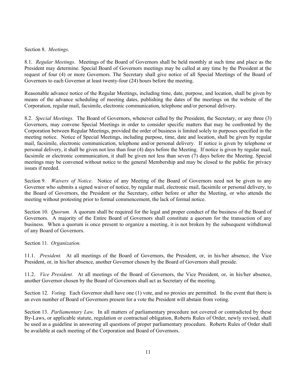#### Section 8. *Meetings*.

8.1. *Regular Meetings*. Meetings of the Board of Governors shall be held monthly at such time and place as the President may determine. Special Board of Governors meetings may be called at any time by the President at the request of four (4) or more Governors. The Secretary shall give notice of all Special Meetings of the Board of Governors to each Governor at least twenty-four (24) hours before the meeting.

Reasonable advance notice of the Regular Meetings, including time, date, purpose, and location, shall be given by means of the advance scheduling of meeting dates, publishing the dates of the meetings on the website of the Corporation, regular mail, facsimile, electronic communication, telephone and/or personal delivery.

8.2. *Special Meetings.* The Board of Governors, whenever called by the President, the Secretary, or any three (3) Governors, may convene Special Meetings in order to consider specific matters that may be confronted by the Corporation between Regular Meetings, provided the order of business is limited solely to purposes specified in the meeting notice. Notice of Special Meetings, including purpose, time, date and location, shall be given by regular mail, facsimile, electronic communication, telephone and/or personal delivery. If notice is given by telephone or personal delivery, it shall be given not less than four (4) days before the Meeting. If notice is given by regular mail, facsimile or electronic communication, it shall be given not less than seven (7) days before the Meeting. Special meetings may be convened without notice to the general Membership and may be closed to the public for privacy issues if needed.

Section 9. *Waivers of Notice*. Notice of any Meeting of the Board of Governors need not be given to any Governor who submits a signed waiver of notice, by regular mail, electronic mail, facsimile or personal delivery, to the Board of Governors, the President or the Secretary, either before or after the Meeting, or who attends the meeting without protesting prior to formal commencement, the lack of formal notice.

Section 10. *Quorum.* A quorum shall be required for the legal and proper conduct of the business of the Board of Governors. A majority of the Entire Board of Governors shall constitute a quorum for the transaction of any business. When a quorum is once present to organize a meeting, it is not broken by the subsequent withdrawal of any Board of Governors.

Section 11. *Organization.*

11.1. *President.* At all meetings of the Board of Governors, the President, or, in his/her absence, the Vice President, or, in his/her absence, another Governor chosen by the Board of Governors shall preside.

11.2. *Vice President.* At all meetings of the Board of Governors, the Vice President, or, in his/her absence, another Governor chosen by the Board of Governors shall act as Secretary of the meeting.

Section 12. *Voting.* Each Governor shall have one (1) vote, and no proxies are permitted. In the event that there is an even number of Board of Governors present for a vote the President will abstain from voting.

Section 13. *Parliamentary Law.* In all matters of parliamentary procedure not covered or contradicted by these By-Laws, or applicable statute, regulation or contractual obligation, Roberts Rules of Order, newly revised, shall be used as a guideline in answering all questions of proper parliamentary procedure. Roberts Rules of Order shall be available at each meeting of the Corporation and Board of Governors.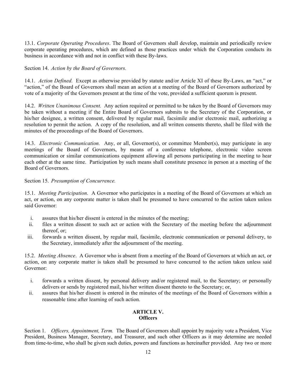13.1. *Corporate Operating Procedures*. The Board of Governors shall develop, maintain and periodically review corporate operating procedures, which are defined as those practices under which the Corporation conducts its business in accordance with and not in conflict with these By-laws.

Section 14. *Action by the Board of Governors.*

14.1. *Action Defined.* Except as otherwise provided by statute and/or Article XI of these By-Laws, an "act," or "action," of the Board of Governors shall mean an action at a meeting of the Board of Governors authorized by vote of a majority of the Governors present at the time of the vote, provided a sufficient quorum is present.

14.2. *Written Unanimous Consent.* Any action required or permitted to be taken by the Board of Governors may be taken without a meeting if the Entire Board of Governors submits to the Secretary of the Corporation, or his/her designee, a written consent, delivered by regular mail, facsimile and/or electronic mail, authorizing a resolution to permit the action. A copy of the resolution, and all written consents thereto, shall be filed with the minutes of the proceedings of the Board of Governors.

14.3. *Electronic Communication.* Any, or all, Governor(s), or committee Member(s), may participate in any meetings of the Board of Governors, by means of a conference telephone, electronic video screen communication or similar communications equipment allowing all persons participating in the meeting to hear each other at the same time. Participation by such means shall constitute presence in person at a meeting of the Board of Governors.

Section 15. *Presumption of Concurrence.*

15.1. *Meeting Participation*. A Governor who participates in a meeting of the Board of Governors at which an act, or action, on any corporate matter is taken shall be presumed to have concurred to the action taken unless said Governor:

- i. assures that his/her dissent is entered in the minutes of the meeting;
- ii. files a written dissent to such act or action with the Secretary of the meeting before the adjournment thereof, or;
- iii. forwards a written dissent, by regular mail, facsimile, electronic communication or personal delivery, to the Secretary, immediately after the adjournment of the meeting.

15.2. *Meeting Absence*. A Governor who is absent from a meeting of the Board of Governors at which an act, or action, on any corporate matter is taken shall be presumed to have concurred to the action taken unless said Governor:

- i. forwards a written dissent, by personal delivery and/or registered mail, to the Secretary; or personally delivers or sends by registered mail, his/her written dissent thereto to the Secretary; or,
- ii. assures that his/her dissent is entered in the minutes of the meetings of the Board of Governors within a reasonable time after learning of such action.

# **ARTICLE V. Officers**

Section 1. *Officers, Appointment, Term.* The Board of Governors shall appoint by majority vote a President, Vice President, Business Manager, Secretary, and Treasurer, and such other Officers as it may determine are needed from time-to-time, who shall be given such duties, powers and functions as hereinafter provided. Any two or more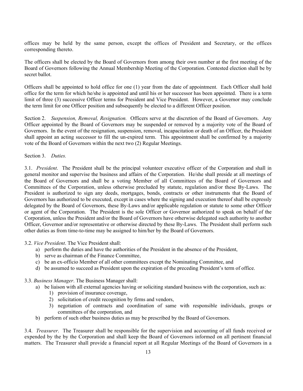offices may be held by the same person, except the offices of President and Secretary, or the offices corresponding thereto.

The officers shall be elected by the Board of Governors from among their own number at the first meeting of the Board of Governors following the Annual Membership Meeting of the Corporation. Contested election shall be by secret ballot.

Officers shall be appointed to hold office for one (1) year from the date of appointment. Each Officer shall hold office for the term for which he/she is appointed and until his or her successor has been appointed. There is a term limit of three (3) successive Officer terms for President and Vice President. However, a Governor may conclude the term limit for one Officer position and subsequently be elected to a different Officer position.

Section 2. *Suspension, Removal, Resignation.* Officers serve at the discretion of the Board of Governors. Any Officer appointed by the Board of Governors may be suspended or removed by a majority vote of the Board of Governors. In the event of the resignation, suspension, removal, incapacitation or death of an Officer, the President shall appoint an acting successor to fill the un-expired term. This appointment shall be confirmed by a majority vote of the Board of Governors within the next two (2) Regular Meetings.

Section 3. *Duties.*

3.1. *President*. The President shall be the principal volunteer executive officer of the Corporation and shall in general monitor and supervise the business and affairs of the Corporation. He/she shall preside at all meetings of the Board of Governors and shall be a voting Member of all Committees of the Board of Governors and Committees of the Corporation, unless otherwise precluded by statute, regulation and/or these By-Laws. The President is authorized to sign any deeds, mortgages, bonds, contracts or other instruments that the Board of Governors has authorized to be executed, except in cases where the signing and execution thereof shall be expressly delegated by the Board of Governors, these By-Laws and/or applicable regulation or statute to some other Officer or agent of the Corporation. The President is the sole Officer or Governor authorized to speak on behalf of the Corporation, unless the President and/or the Board of Governors have otherwise delegated such authority to another Officer, Governor and/or representative or otherwise directed by these By-Laws. The President shall perform such other duties as from time-to-time may be assigned to him/her by the Board of Governors.

3.2. *Vice President*. The Vice President shall:

- a) perform the duties and have the authorities of the President in the absence of the President,
- b) serve as chairman of the Finance Committee,
- c) be an ex-officio Member of all other committees except the Nominating Committee, and
- d) be assumed to succeed as President upon the expiration of the preceding President's term of office.

#### 3.3. *Business Manager*. The Business Manager shall:

- a) be liaison with all external agencies having or soliciting standard business with the corporation, such as:
	- 1) provision of insurance coverage,
	- 2) solicitation of credit recognition by firms and vendors,
	- 3) negotiation of contracts and coordination of same with responsible individuals, groups or committees of the corporation, and
- b) perform of such other business duties as may be prescribed by the Board of Governors.

3.4. *Treasurer*. The Treasurer shall be responsible for the supervision and accounting of all funds received or expended by the by the Corporation and shall keep the Board of Governors informed on all pertinent financial matters. The Treasurer shall provide a financial report at all Regular Meetings of the Board of Governors in a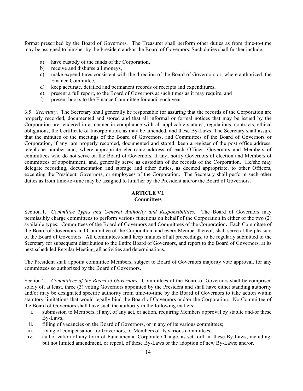format prescribed by the Board of Governors. The Treasurer shall perform other duties as from time-to-time may be assigned to him/her by the President and/or the Board of Governors. Such duties shall further include:

- a) have custody of the funds of the Corporation,
- b) receive and disburse all moneys,
- c) make expenditures consistent with the direction of the Board of Governors or, where authorized, the Finance Committee,
- d) keep accurate, detailed and permanent records of receipts and expenditures,
- e) present a full report, to the Board of Governors at such times as it may require, and
- f) present books to the Finance Committee for audit each year.

3.5. *Secretary*. The Secretary shall generally be responsible for assuring that the records of the Corporation are properly recorded, documented and stored and that all informal or formal notices that may be issued by the Corporation are tendered in a manner in compliance with all applicable statutes, regulations, contracts, ethical obligations, the Certificate of Incorporation, as may be amended, and these By-Laws. The Secretary shall assure that the minutes of the meetings of the Board of Governors, and Committees of the Board of Governors or Corporation, if any, are properly recorded, documented and stored; keep a register of the post office address, telephone number and, where appropriate electronic address of each Officer, Governors and Members of committees who do not serve on the Board of Governors, if any; notify Governors of election and Members of committees of appointment; and, generally serve as custodian of the records of the Corporation. He/she may delegate recording, documentation and storage and other duties, as deemed appropriate, to other Officers, excepting the President, Governors, or employees of the Corporation. The Secretary shall perform such other duties as from time-to-time may be assigned to him/her by the President and/or the Board of Governors.

# **ARTICLE VI.**

# **Committees**

Section 1. *Committee Types and General Authority and Responsibilities.* The Board of Governors may permissibly charge committees to perform various functions on behalf of the Corporation in either of the two (2) available types: Committees of the Board of Governors and Committees of the Corporation**.** Each Committee of the Board of Governors and Committee of the Corporation, and every Member thereof, shall serve at the pleasure of the Board of Governors. All Committees shall keep minutes of all proceedings, to be regularly submitted to the Secretary for subsequent distribution to the Entire Board of Governors, and report to the Board of Governors, at its next scheduled Regular Meeting, all activities and determinations.

The President shall appoint committee Members, subject to Board of Governors majority vote approval, for any committees so authorized by the Board of Governors.

Section 2. *Committees of the Board of Governors.* Committees of the Board of Governors shall be comprised solely of, at least, three (3) voting Governors appointed by the President and shall have either standing authority and/or may be designated specific authority from time-to-time by the Board of Governors to take action within statutory limitations that would legally bind the Board of Governors and/or the Corporation. No Committee of the Board of Governors shall have such the authority in the following matters:

- i. submission to Members, if any, of any act, or action, requiring Members approval by statute and/or these By-Laws;
- ii. filling of vacancies on the Board of Governors, or in any of its various committees;
- iii. fixing of compensation for Governors, or Members of its various committees;
- iv. authorization of any form of Fundamental Corporate Change, as set forth in these By-Laws, including, but not limited amendment, or repeal, of these By-Laws or the adoption of new By-Laws; and/or,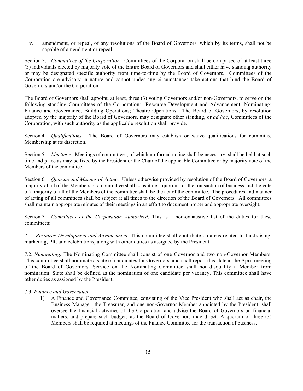v. amendment, or repeal, of any resolutions of the Board of Governors, which by its terms, shall not be capable of amendment or repeal.

Section 3. *Committees of the Corporation.* Committees of the Corporation shall be comprised of at least three (3) individuals elected by majority vote of the Entire Board of Governors and shall either have standing authority or may be designated specific authority from time-to-time by the Board of Governors. Committees of the Corporation are advisory in nature and cannot under any circumstances take actions that bind the Board of Governors and/or the Corporation.

The Board of Governors shall appoint, at least, three (3) voting Governors and/or non-Governors, to serve on the following standing Committees of the Corporation: Resource Development and Advancement; Nominating; Finance and Governance; Building Operations; Theatre Operations. The Board of Governors, by resolution adopted by the majority of the Board of Governors, may designate other standing, or *ad hoc*, Committees of the Corporation, with such authority as the applicable resolution shall provide.

Section 4. *Qualifications.* The Board of Governors may establish or waive qualifications for committee Membership at its discretion.

Section 5. *Meetings*. Meetings of committees, of which no formal notice shall be necessary, shall be held at such time and place as may be fixed by the President or the Chair of the applicable Committee or by majority vote of the Members of the committee.

Section 6. *Quorum and Manner of Acting.* Unless otherwise provided by resolution of the Board of Governors, a majority of all of the Members of a committee shall constitute a quorum for the transaction of business and the vote of a majority of all of the Members of the committee shall be the act of the committee. The procedures and manner of acting of all committees shall be subject at all times to the direction of the Board of Governors. All committees shall maintain appropriate minutes of their meetings in an effort to document proper and appropriate oversight.

Section 7. *Committees of the Corporation Authorized*. This is a non-exhaustive list of the duties for these committees:

7.1. *Resource Development and Advancement*. This committee shall contribute on areas related to fundraising, marketing, PR, and celebrations, along with other duties as assigned by the President.

7.2. *Nominating.* The Nominating Committee shall consist of one Governor and two non-Governor Members. This committee shall nominate a slate of candidates for Governors, and shall report this slate at the April meeting of the Board of Governors. Service on the Nominating Committee shall not disqualify a Member from nomination. Slate shall be defined as the nomination of one candidate per vacancy. This committee shall have other duties as assigned by the President.

### 7.3. *Finance and Governance*.

1) A Finance and Governance Committee, consisting of the Vice President who shall act as chair, the Business Manager, the Treasurer, and one non-Governor Member appointed by the President, shall oversee the financial activities of the Corporation and advise the Board of Governors on financial matters, and prepare such budgets as the Board of Governors may direct. A quorum of three (3) Members shall be required at meetings of the Finance Committee for the transaction of business.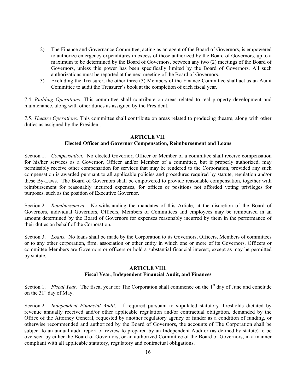- 2) The Finance and Governance Committee, acting as an agent of the Board of Governors, is empowered to authorize emergency expenditures in excess of those authorized by the Board of Governors, up to a maximum to be determined by the Board of Governors, between any two (2) meetings of the Board of Governors, unless this power has been specifically limited by the Board of Governors. All such authorizations must be reported at the next meeting of the Board of Governors.
- 3) Excluding the Treasurer, the other three (3) Members of the Finance Committee shall act as an Audit Committee to audit the Treasurer's book at the completion of each fiscal year.

7.4. *Building Operations*. This committee shall contribute on areas related to real property development and maintenance, along with other duties as assigned by the President.

7.5. *Theatre Operations*. This committee shall contribute on areas related to producing theatre, along with other duties as assigned by the President.

# **ARTICLE VII.**

# **Elected Officer and Governor Compensation, Reimbursement and Loans**

Section 1. *Compensation.* No elected Governor, Officer or Member of a committee shall receive compensation for his/her services as a Governor, Officer and/or Member of a committee, but if properly authorized, may permissibly receive other compensation for services that may be rendered to the Corporation, provided any such compensation is awarded pursuant to all applicable policies and procedures required by statute, regulation and/or these By-Laws. The Board of Governors shall be empowered to provide reasonable compensation, together with reimbursement for reasonably incurred expenses, for offices or positions not afforded voting privileges for purposes, such as the position of Executive Governor.

Section 2. *Reimbursement*. Notwithstanding the mandates of this Article, at the discretion of the Board of Governors, individual Governors, Officers, Members of Committees and employees may be reimbursed in an amount determined by the Board of Governors for expenses reasonably incurred by them in the performance of their duties on behalf of the Corporation.

Section 3. *Loans.* No loans shall be made by the Corporation to its Governors, Officers, Members of committees or to any other corporation, firm, association or other entity in which one or more of its Governors, Officers or committee Members are Governors or officers or hold a substantial financial interest, except as may be permitted by statute.

### **ARTICLE VIII. Fiscal Year, Independent Financial Audit, and Finances**

Section 1. *Fiscal Year*. The fiscal year for The Corporation shall commence on the 1<sup>st</sup> day of June and conclude on the  $31<sup>st</sup>$  day of May.

Section 2. *Independent Financial Audit*. If required pursuant to stipulated statutory thresholds dictated by revenue annually received and/or other applicable regulation and/or contractual obligation, demanded by the Office of the Attorney General, requested by another regulatory agency or funder as a condition of funding, or otherwise recommended and authorized by the Board of Governors, the accounts of The Corporation shall be subject to an annual audit report or review to prepared by an Independent Auditor (as defined by statute) to be overseen by either the Board of Governors, or an authorized Committee of the Board of Governors, in a manner compliant with all applicable statutory, regulatory and contractual obligations.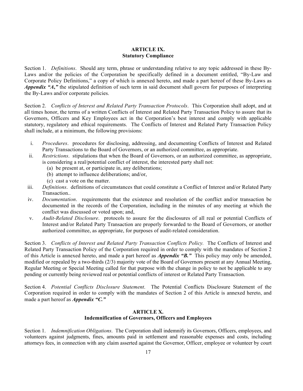# **ARTICLE IX. Statutory Compliance**

Section 1. *Definitions*. Should any term, phrase or understanding relative to any topic addressed in these By-Laws and/or the policies of the Corporation be specifically defined in a document entitled, "By-Law and Corporate Policy Definitions," a copy of which is annexed hereto, and made a part hereof of these By-Laws as *Appendix "A***,***"* the stipulated definition of such term in said document shall govern for purposes of interpreting the By-Laws and/or corporate policies.

Section 2. *Conflicts of Interest and Related Party Transaction Protocols*. This Corporation shall adopt, and at all times honor, the terms of a written Conflicts of Interest and Related Party Transaction Policy to assure that its Governors, Officers and Key Employees act in the Corporation's best interest and comply with applicable statutory, regulatory and ethical requirements. The Conflicts of Interest and Related Party Transaction Policy shall include, at a minimum, the following provisions:

- i. *Procedures*. procedures for disclosing, addressing, and documenting Conflicts of Interest and Related Party Transactions to the Board of Governors, or an authorized committee, as appropriate.
- ii. *Restrictions*. stipulations that when the Board of Governors, or an authorized committee, as appropriate, is considering a real/potential conflict of interest, the interested party shall not:
	- (a) be present at, or participate in, any deliberations;
	- (b) attempt to influence deliberations; and/or,
	- (c) cast a vote on the matter.
- iii. *Definitions*. definitions of circumstances that could constitute a Conflict of Interest and/or Related Party Transaction..
- iv. *Documentation*. requirements that the existence and resolution of the conflict and/or transaction be documented in the records of the Corporation, including in the minutes of any meeting at which the conflict was discussed or voted upon; and,
- v. *Audit-Related Disclosure*. protocols to assure for the disclosures of all real or potential Conflicts of Interest and/or Related Party Transaction are properly forwarded to the Board of Governors, or another authorized committee, as appropriate, for purposes of audit-related consideration.

Section 3. *Conflicts of Interest and Related Party Transaction Conflicts Policy.* The Conflicts of Interest and Related Party Transaction Policy of the Corporation required in order to comply with the mandates of Section 2 of this Article is annexed hereto, and made a part hereof as *Appendix "B."* This policy may only be amended, modified or repealed by a two-thirds (2/3) majority vote of the Board of Governors present at any Annual Meeting, Regular Meeting or Special Meeting called for that purpose with the change in policy to not be applicable to any pending or currently being reviewed real or potential conflicts of interest or Related Party Transaction.

Section 4. *Potential Conflicts Disclosure Statement*. The Potential Conflicts Disclosure Statement of the Corporation required in order to comply with the mandates of Section 2 of this Article is annexed hereto, and made a part hereof as *Appendix "C."*

# **ARTICLE X. Indemnification of Governors, Officers and Employees**

Section 1. *Indemnification Obligations*. The Corporation shall indemnify its Governors, Officers, employees, and volunteers against judgments, fines, amounts paid in settlement and reasonable expenses and costs, including attorneys fees, in connection with any claim asserted against the Governor, Officer, employee or volunteer by court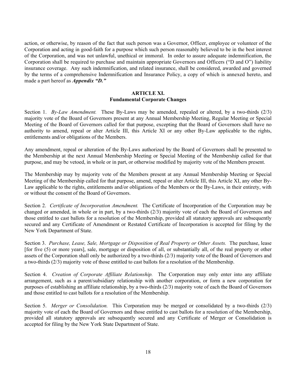action, or otherwise, by reason of the fact that such person was a Governor, Officer, employee or volunteer of the Corporation and acting in good-faith for a purpose which such person reasonably believed to be in the best interest of the Corporation, and was not unlawful, unethical or immoral. In order to assure adequate indemnification, the Corporation shall be required to purchase and maintain appropriate Governors and Officers ("D and O") liability insurance coverage. Any such indemnification, and related insurance, shall be considered, awarded and governed by the terms of a comprehensive Indemnification and Insurance Policy, a copy of which is annexed hereto, and made a part hereof as *Appendix "D."*

# **ARTICLE XI. Fundamental Corporate Changes**

Section 1. *By-Law Amendment.* These By-Laws may be amended, repealed or altered, by a two-thirds (2/3) majority vote of the Board of Governors present at any Annual Membership Meeting, Regular Meeting or Special Meeting of the Board of Governors called for that purpose, excepting that the Board of Governors shall have no authority to amend, repeal or alter Article III, this Article XI or any other By-Law applicable to the rights, entitlements and/or obligations of the Members.

Any amendment, repeal or alteration of the By-Laws authorized by the Board of Governors shall be presented to the Membership at the next Annual Membership Meeting or Special Meeting of the Membership called for that purpose, and may be vetoed, in whole or in part, or otherwise modified by majority vote of the Members present.

The Membership may by majority vote of the Members present at any Annual Membership Meeting or Special Meeting of the Membership called for that purpose, amend, repeal or alter Article III, this Article XI, any other By-Law applicable to the rights, entitlements and/or obligations of the Members or the By-Laws, in their entirety, with or without the consent of the Board of Governors.

Section 2. *Certificate of Incorporation Amendment.* The Certificate of Incorporation of the Corporation may be changed or amended, in whole or in part, by a two-thirds (2/3) majority vote of each the Board of Governors and those entitled to cast ballots for a resolution of the Membership, provided all statutory approvals are subsequently secured and any Certificate of Amendment or Restated Certificate of Incorporation is accepted for filing by the New York Department of State.

Section 3. *Purchase, Lease, Sale, Mortgage or Disposition of Real Property or Other Assets.* The purchase, lease [for five (5) or more years], sale, mortgage or disposition of all, or substantially all, of the real property or other assets of the Corporation shall only be authorized by a two-thirds (2/3) majority vote of the Board of Governors and a two-thirds (2/3) majority vote of those entitled to cast ballots for a resolution of the Membership.

Section 4. *Creation of Corporate Affiliate Relationship.* The Corporation may only enter into any affiliate arrangement, such as a parent/subsidiary relationship with another corporation, or form a new corporation for purposes of establishing an affiliate relationship, by a two-thirds (2/3) majority vote of each the Board of Governors and those entitled to cast ballots for a resolution of the Membership.

Section 5. *Merger or Consolidation.* This Corporation may be merged or consolidated by a two-thirds (2/3) majority vote of each the Board of Governors and those entitled to cast ballots for a resolution of the Membership, provided all statutory approvals are subsequently secured and any Certificate of Merger or Consolidation is accepted for filing by the New York State Department of State.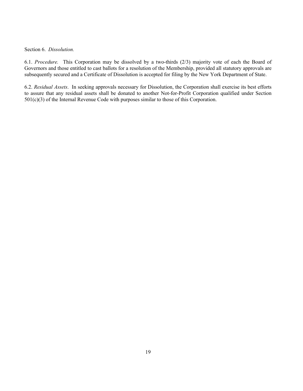### Section 6. *Dissolution.*

6.1. *Procedure.* This Corporation may be dissolved by a two-thirds (2/3) majority vote of each the Board of Governors and those entitled to cast ballots for a resolution of the Membership, provided all statutory approvals are subsequently secured and a Certificate of Dissolution is accepted for filing by the New York Department of State.

6.2. *Residual Assets*. In seeking approvals necessary for Dissolution, the Corporation shall exercise its best efforts to assure that any residual assets shall be donated to another Not-for-Profit Corporation qualified under Section 501(c)(3) of the Internal Revenue Code with purposes similar to those of this Corporation.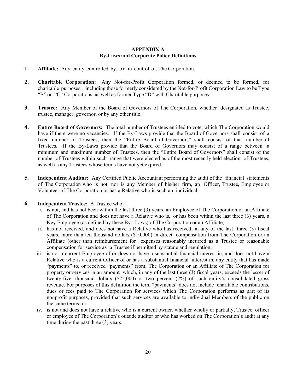### **APPENDIX A By-Laws and Corporate Policy Definitions**

- **1. Affiliate:** Any entity controlled by, or in control of, The Corporation.
- **2. Charitable Corporation:** Any Not-for-Profit Corporation formed, or deemed to be formed, for charitable purposes, including those formerly considered by the Not-for-Profit Corporation Law to be Type "B" or "C" Corporations, as well as former Type "D" with Charitable purposes.
- **3. Trustee:** Any Member of the Board of Governors of The Corporation, whether designated as Trustee, trustee, manager, governor, or by any other title.
- **4. Entire Board of Governors:** The total number of Trustees entitled to vote, which The Corporation would have if there were no vacancies. If the By-Laws provide that the Board of Governors shall consist of a fixed number of Trustees, then the "Entire Board of Governors" shall consist of that number of Trustees. If the By-Laws provide that the Board of Governors may consist of a range between a minimum and maximum number of Trustees, then the "Entire Board of Governors" shall consist of the number of Trustees within such range that were elected as of the most recently held election of Trustees, as well as any Trustees whose terms have not yet expired.
- **5. Independent Auditor:** Any Certified Public Accountant performing the audit of the financial statements of The Corporation who is not, nor is any Member of his/her firm, an Officer, Trustee, Employee or Volunteer of The Corporation or has a Relative who is such an individual.
- **6. Independent Trustee:** A Trustee who:
	- i. is not, and has not been within the last three (3) years, an Employee of The Corporation or an Affiliate of The Corporation and does not have a Relative who is, or has been within the last three (3) years, a Key Employee (as defined by these By- Laws) of The Corporation or an Affiliate;
	- ii. has not received, and does not have a Relative who has received, in any of the last three (3) fiscal years, more than ten thousand dollars (\$10,000) in direct compensation from The Corporation or an Affiliate (other than reimbursement for expenses reasonably incurred as a Trustee or reasonable compensation for service as a Trustee if permitted by statute and regulation;
	- iii. is not a current Employee of or does not have a substantial financial interest in, and does not have a Relative who is a current Officer of or has a substantial financial interest in, any entity that has made "payments" to, or received "payments" from, The Corporation or an Affiliate of The Corporation for property or services in an amount which, in any of the last three (3) fiscal years, exceeds the lesser of twenty-five thousand dollars (\$25,000) or two percent (2%) of such entity's consolidated gross revenue. For purposes of this definition the term "payments" does not include charitable contributions, dues or fees paid to The Corporation for services which The Corporation performs as part of its nonprofit purposes, provided that such services are available to individual Members of the public on the same terms; or
	- iv. is not and does not have a relative who is a current owner, whether wholly or partially, Trustee, officer or employee of The Corporation's outside auditor or who has worked on The Corporation's audit at any time during the past three (3) years.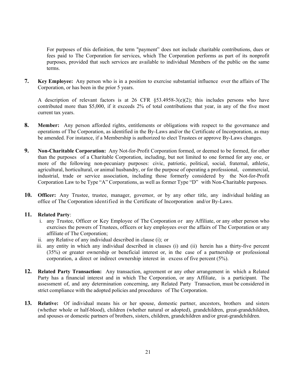For purposes of this definition, the term "payment" does not include charitable contributions, dues or fees paid to The Corporation for services, which The Corporation performs as part of its nonprofit purposes, provided that such services are available to individual Members of the public on the same terms.

**7. Key Employee:** Any person who is in a position to exercise substantial influence over the affairs of The Corporation, or has been in the prior 5 years.

A description of relevant factors is at 26 CFR  $\S$ 53.4958-3(e)(2); this includes persons who have contributed more than \$5,000, if it exceeds 2% of total contributions that year, in any of the five most current tax years.

- **8. Member:** Any person afforded rights, entitlements or obligations with respect to the governance and operations of The Corporation, as identified in the By-Laws and/or the Certificate of Incorporation, as may be amended. For instance, if a Membership is authorized to elect Trustees or approve By-Laws changes.
- **9. Non-Charitable Corporation:** Any Not-for-Profit Corporation formed, or deemed to be formed, for other than the purposes of a Charitable Corporation, including, but not limited to one formed for any one, or more of the following non-pecuniary purposes: civic, patriotic, political, social, fraternal, athletic, agricultural, horticultural, or animal husbandry, or for the purpose of operating a professional, commercial, industrial, trade or service association, including those formerly considered by the Not-for-Profit Corporation Law to be Type "A" Corporations, as well as former Type "D" with Non-Charitable purposes.
- **10. Officer:** Any Trustee, trustee, manager, governor, or by any other title, any individual holding an office of The Corporation identified in the Certificate of Incorporation and/or By-Laws.

### **11. Related Party**:

- i. any Trustee, Officer or Key Employee of The Corporation or any Affiliate, or any other person who exercises the powers of Trustees, officers or key employees over the affairs of The Corporation or any affiliate of The Corporation;
- ii. any Relative of any individual described in clause (i); or
- iii. any entity in which any individual described in clauses (i) and (ii) herein has a thirty-five percent (35%) or greater ownership or beneficial interest or, in the case of a partnership or professional corporation, a direct or indirect ownership interest in excess of five percent (5%).
- **12. Related Party Transaction:** Any transaction, agreement or any other arrangement in which a Related Party has a financial interest and in which The Corporation, or any Affiliate, is a participant. The assessment of, and any determination concerning, any Related Party Transaction, must be considered in strict compliance with the adopted policies and procedures of The Corporation.
- **13. Relative:** Of individual means his or her spouse, domestic partner, ancestors, brothers and sisters (whether whole or half-blood), children (whether natural or adopted), grandchildren, great-grandchildren, and spouses or domestic partners of brothers, sisters, children, grandchildren and/or great-grandchildren.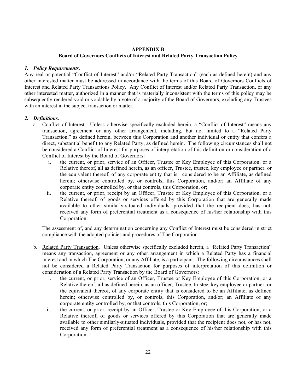# **APPENDIX B**

# **Board of Governors Conflicts of Interest and Related Party Transaction Policy**

# *1. Policy Requirements.*

Any real or potential "Conflict of Interest" and/or "Related Party Transaction" (each as defined herein) and any other interested matter must be addressed in accordance with the terms of this Board of Governors Conflicts of Interest and Related Party Transactions Policy. Any Conflict of Interest and/or Related Party Transaction, or any other interested matter, authorized in a manner that is materially inconsistent with the terms of this policy may be subsequently rendered void or voidable by a vote of a majority of the Board of Governors, excluding any Trustees with an interest in the subject transaction or matter.

# *2. Definitions.*

- a. Conflict of Interest. Unless otherwise specifically excluded herein, a "Conflict of Interest" means any transaction, agreement or any other arrangement, including, but not limited to a "Related Party Transaction," as defined herein, between this Corporation and another individual or entity that confers a direct, substantial benefit to any Related Party, as defined herein. The following circumstances shall not be considered a Conflict of Interest for purposes of interpretation of this definition or consideration of a Conflict of Interest by the Board of Governors:
	- i. the current, or prior, service of an Officer, Trustee or Key Employee of this Corporation, or a Relative thereof, all as defined herein, as an officer, Trustee, trustee, key employee or partner, or the equivalent thereof, of any corporate entity that is: considered to be an Affiliate, as defined herein; otherwise controlled by, or controls, this Corporation, and/or; an Affiliate of any corporate entity controlled by, or that controls, this Corporation, or;
	- ii. the current, or prior, receipt by an Officer, Trustee or Key Employee of this Corporation, or a Relative thereof, of goods or services offered by this Corporation that are generally made available to other similarly-situated individuals, provided that the recipient does, has not, received any form of preferential treatment as a consequence of his/her relationship with this Corporation.

The assessment of, and any determination concerning any Conflict of Interest must be considered in strict compliance with the adopted policies and procedures of The Corporation.

- b. Related Party Transaction. Unless otherwise specifically excluded herein, a "Related Party Transaction" means any transaction, agreement or any other arrangement in which a Related Party has a financial interest and in which The Corporation, or any Affiliate, is a participant. The following circumstances shall not be considered a Related Party Transaction for purposes of interpretation of this definition or consideration of a Related Party Transaction by the Board of Governors:
	- i. the current, or prior, service of an Officer, Trustee or Key Employee of this Corporation, or a Relative thereof, all as defined herein, as an officer, Trustee, trustee, key employee or partner, or the equivalent thereof, of any corporate entity that is considered to be an Affiliate, as defined herein; otherwise controlled by, or controls, this Corporation, and/or; an Affiliate of any corporate entity controlled by, or that controls, this Corporation, or;
	- ii. the current, or prior, receipt by an Officer, Trustee or Key Employee of this Corporation, or a Relative thereof, of goods or services offered by this Corporation that are generally made available to other similarly-situated individuals, provided that the recipient does not, or has not, received any form of preferential treatment as a consequence of his/her relationship with this Corporation.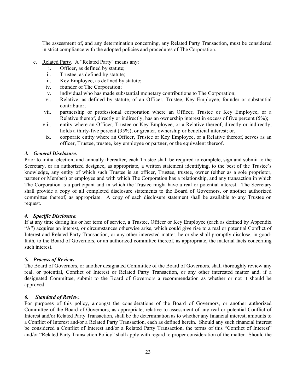The assessment of, and any determination concerning, any Related Party Transaction, must be considered in strict compliance with the adopted policies and procedures of The Corporation.

- c. Related Party. A "Related Party" means any:
	- i. Officer, as defined by statute;
	- ii. Trustee, as defined by statute;
	- iii. Key Employee, as defined by statute;
	- iv. founder of The Corporation;
	- v. individual who has made substantial monetary contributions to The Corporation;
	- vi. Relative, as defined by statute, of an Officer, Trustee, Key Employee, founder or substantial contributor;
	- vii. partnership or professional corporation where an Officer, Trustee or Key Employee, or a Relative thereof, directly or indirectly, has an ownership interest in excess of five percent (5%);
	- viii. entity where an Officer, Trustee or Key Employee, or a Relative thereof, directly or indirectly, holds a thirty-five percent (35%), or greater, ownership or beneficial interest; or,
	- ix. corporate entity where an Officer, Trustee or Key Employee, or a Relative thereof, serves as an officer, Trustee, trustee, key employee or partner, or the equivalent thereof.

#### *3. General Disclosure.*

Prior to initial election, and annually thereafter, each Trustee shall be required to complete, sign and submit to the Secretary, or an authorized designee, as appropriate, a written statement identifying, to the best of the Trustee's knowledge, any entity of which such Trustee is an officer, Trustee, trustee, owner (either as a sole proprietor, partner or Member) or employee and with which The Corporation has a relationship, and any transaction in which The Corporation is a participant and in which the Trustee might have a real or potential interest. The Secretary shall provide a copy of all completed disclosure statements to the Board of Governors, or another authorized committee thereof, as appropriate. A copy of each disclosure statement shall be available to any Trustee on request.

#### *4. Specific Disclosure.*

If at any time during his or her term of service, a Trustee, Officer or Key Employee (each as defined by Appendix "A") acquires an interest, or circumstances otherwise arise, which could give rise to a real or potential Conflict of Interest and Related Party Transaction, or any other interested matter, he or she shall promptly disclose, in goodfaith, to the Board of Governors, or an authorized committee thereof, as appropriate, the material facts concerning such interest.

#### *5. Process of Review.*

The Board of Governors, or another designated Committee of the Board of Governors, shall thoroughly review any real, or potential, Conflict of Interest or Related Party Transaction, or any other interested matter and, if a designated Committee, submit to the Board of Governors a recommendation as whether or not it should be approved.

#### *6. Standard of Review.*

For purposes of this policy, amongst the considerations of the Board of Governors, or another authorized Committee of the Board of Governors, as appropriate, relative to assessment of any real or potential Conflict of Interest and/or Related Party Transaction, shall be the determination as to whether any financial interest, amounts to a Conflict of Interest and/or a Related Party Transaction, each as defined herein. Should any such financial interest be considered a Conflict of Interest and/or a Related Party Transaction, the terms of this "Conflict of Interest" and/or "Related Party Transaction Policy" shall apply with regard to proper consideration of the matter. Should the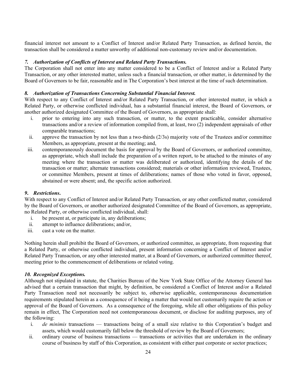financial interest not amount to a Conflict of Interest and/or Related Party Transaction, as defined herein, the transaction shall be considered a matter unworthy of additional non-customary review and/or documentation.

### *7. Authorization of Conflicts of Interest and Related Party Transactions.*

The Corporation shall not enter into any matter considered to be a Conflict of Interest and/or a Related Party Transaction, or any other interested matter, unless such a financial transaction, or other matter, is determined by the Board of Governors to be fair, reasonable and in The Corporation's best interest at the time of such determination.

### *8. Authorization of Transactions Concerning Substantial Financial Interest.*

With respect to any Conflict of Interest and/or Related Party Transaction, or other interested matter, in which a Related Party, or otherwise conflicted individual, has a substantial financial interest, the Board of Governors, or another authorized designated Committee of the Board of Governors, as appropriate shall:

- i. prior to entering into any such transaction, or matter, to the extent practicable, consider alternative transactions and/or a review of information compiled from, at least, two (2) independent appraisals of other comparable transactions;
- ii. approve the transaction by not less than a two-thirds (2/3s) majority vote of the Trustees and/or committee Members, as appropriate, present at the meeting; and,
- iii. contemporaneously document the basis for approval by the Board of Governors, or authorized committee, as appropriate, which shall include the preparation of a written report, to be attached to the minutes of any meeting where the transaction or matter was deliberated or authorized, identifying the details of the transaction or matter; alternate transactions considered; materials or other information reviewed, Trustees, or committee Members, present at times of deliberations; names of those who voted in favor, opposed, abstained or were absent; and, the specific action authorized.

# *9***.** *Restrictions***.**

With respect to any Conflict of Interest and/or Related Party Transaction, or any other conflicted matter, considered by the Board of Governors, or another authorized designated Committee of the Board of Governors, as appropriate, no Related Party, or otherwise conflicted individual, shall:

- i. be present at, or participate in, any deliberations;
- ii. attempt to influence deliberations; and/or,
- iii. cast a vote on the matter.

Nothing herein shall prohibit the Board of Governors, or authorized committee, as appropriate, from requesting that a Related Party, or otherwise conflicted individual, present information concerning a Conflict of Interest and/or Related Party Transaction, or any other interested matter, at a Board of Governors, or authorized committee thereof, meeting prior to the commencement of deliberations or related voting.

### *10. Recognized Exceptions.*

Although not stipulated in statute, the Charities Bureau of the New York State Office of the Attorney General has advised that a certain transaction that might, by definition, be considered a Conflict of Interest and/or a Related Party Transaction need not necessarily be subject to, otherwise applicable, contemporaneous documentation requirements stipulated herein as a consequence of it being a matter that would not customarily require the action or approval of the Board of Governors. As a consequence of the foregoing, while all other obligations of this policy remain in effect, The Corporation need not contemporaneous document, or disclose for auditing purposes, any of the following:

- i. *de minimis* transactions transactions being of a small size relative to this Corporation's budget and assets, which would customarily fall below the threshold of review by the Board of Governors;
- ii. ordinary course of business transactions transactions or activities that are undertaken in the ordinary course of business by staff of this Corporation, as consistent with either past corporate or sector practices;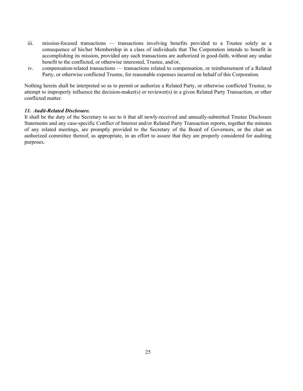- iii. mission-focused transactions transactions involving benefits provided to a Trustee solely as a consequence of his/her Membership in a class of individuals that The Corporation intends to benefit in accomplishing its mission, provided any such transactions are authorized in good-faith, without any undue benefit to the conflicted, or otherwise interested, Trustee, and/or,
- iv. compensation-related transactions transactions related to compensation, or reimbursement of a Related Party, or otherwise conflicted Trustee, for reasonable expenses incurred on behalf of this Corporation.

Nothing herein shall be interpreted so as to permit or authorize a Related Party, or otherwise conflicted Trustee, to attempt to improperly influence the decision-maker(s) or reviewer(s) in a given Related Party Transaction, or other conflicted matter.

### *11. Audit-Related Disclosure.*

It shall be the duty of the Secretary to see to it that all newly-received and annually-submitted Trustee Disclosure Statements and any case-specific Conflict of Interest and/or Related Party Transaction reports, together the minutes of any related meetings, are promptly provided to the Secretary of the Board of Governors, or the chair an authorized committee thereof, as appropriate, in an effort to assure that they are properly considered for auditing purposes.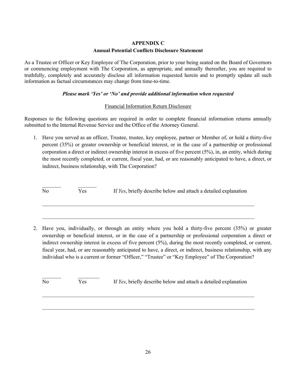# **APPENDIX C Annual Potential Conflicts Disclosure Statement**

As a Trustee or Officer or Key Employee of The Corporation, prior to your being seated on the Board of Governors or commencing employment with The Corporation, as appropriate, and annually thereafter, you are required to truthfully, completely and accurately disclose all information requested herein and to promptly update all such information as factual circumstances may change from time-to-time.

# *Please mark 'Yes' or 'No' and provide additional information when requested*

# Financial Information Return Disclosure

Responses to the following questions are required in order to complete financial information returns annually submitted to the Internal Revenue Service and the Office of the Attorney General.

1. Have you served as an officer, Trustee, trustee, key employee, partner or Member of, or hold a thirty-five percent (35%) or greater ownership or beneficial interest, or in the case of a partnership or professional corporation a direct or indirect ownership interest in excess of five percent (5%), in, an entity, which during the most recently completed, or current, fiscal year, had, or are reasonably anticipated to have, a direct, or indirect, business relationship, with The Corporation?

 $\frac{1}{2}$  ,  $\frac{1}{2}$  ,  $\frac{1}{2}$  ,  $\frac{1}{2}$  ,  $\frac{1}{2}$  ,  $\frac{1}{2}$  ,  $\frac{1}{2}$  ,  $\frac{1}{2}$ No Yes If *Yes*, briefly describe below and attach a detailed explanation

 $\mathcal{L}_\text{max} = \mathcal{L}_\text{max} = \mathcal{L}_\text{max} = \mathcal{L}_\text{max} = \mathcal{L}_\text{max} = \mathcal{L}_\text{max} = \mathcal{L}_\text{max} = \mathcal{L}_\text{max} = \mathcal{L}_\text{max} = \mathcal{L}_\text{max} = \mathcal{L}_\text{max} = \mathcal{L}_\text{max} = \mathcal{L}_\text{max} = \mathcal{L}_\text{max} = \mathcal{L}_\text{max} = \mathcal{L}_\text{max} = \mathcal{L}_\text{max} = \mathcal{L}_\text{max} = \mathcal{$ 

 $\mathcal{L}_\text{max} = \mathcal{L}_\text{max} = \mathcal{L}_\text{max} = \mathcal{L}_\text{max} = \mathcal{L}_\text{max} = \mathcal{L}_\text{max} = \mathcal{L}_\text{max} = \mathcal{L}_\text{max} = \mathcal{L}_\text{max} = \mathcal{L}_\text{max} = \mathcal{L}_\text{max} = \mathcal{L}_\text{max} = \mathcal{L}_\text{max} = \mathcal{L}_\text{max} = \mathcal{L}_\text{max} = \mathcal{L}_\text{max} = \mathcal{L}_\text{max} = \mathcal{L}_\text{max} = \mathcal{$ 

2. Have you, individually, or through an entity where you hold a thirty-five percent (35%) or greater ownership or beneficial interest, or in the case of a partnership or professional corporation a direct or indirect ownership interest in excess of five percent (5%), during the most recently completed, or current, fiscal year, had, or are reasonably anticipated to have, a direct, or indirect, business relationship, with any individual who is a current or former "Officer," "Trustee" or "Key Employee" of The Corporation?

 $\mathcal{L}=\mathcal{L}^{\mathcal{L}}$  , where  $\mathcal{L}^{\mathcal{L}}$ No Yes If *Yes*, briefly describe below and attach a detailed explanation

 $\mathcal{L}_\text{max} = \mathcal{L}_\text{max} = \mathcal{L}_\text{max} = \mathcal{L}_\text{max} = \mathcal{L}_\text{max} = \mathcal{L}_\text{max} = \mathcal{L}_\text{max} = \mathcal{L}_\text{max} = \mathcal{L}_\text{max} = \mathcal{L}_\text{max} = \mathcal{L}_\text{max} = \mathcal{L}_\text{max} = \mathcal{L}_\text{max} = \mathcal{L}_\text{max} = \mathcal{L}_\text{max} = \mathcal{L}_\text{max} = \mathcal{L}_\text{max} = \mathcal{L}_\text{max} = \mathcal{$ 

 $\mathcal{L}_\text{max} = \mathcal{L}_\text{max} = \mathcal{L}_\text{max} = \mathcal{L}_\text{max} = \mathcal{L}_\text{max} = \mathcal{L}_\text{max} = \mathcal{L}_\text{max} = \mathcal{L}_\text{max} = \mathcal{L}_\text{max} = \mathcal{L}_\text{max} = \mathcal{L}_\text{max} = \mathcal{L}_\text{max} = \mathcal{L}_\text{max} = \mathcal{L}_\text{max} = \mathcal{L}_\text{max} = \mathcal{L}_\text{max} = \mathcal{L}_\text{max} = \mathcal{L}_\text{max} = \mathcal{$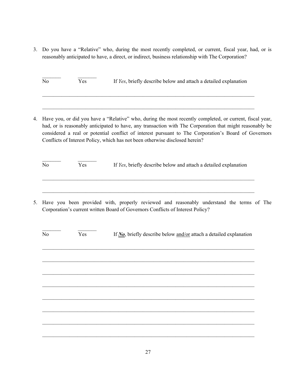3. Do you have a "Relative" who, during the most recently completed, or current, fiscal year, had, or is reasonably anticipated to have, a direct, or indirect, business relationship with The Corporation?

No Yes If *Yes*, briefly describe below and attach a detailed explanation

 $\_$  , and the set of the set of the set of the set of the set of the set of the set of the set of the set of the set of the set of the set of the set of the set of the set of the set of the set of the set of the set of th

 $\mathcal{L}_\text{max} = \mathcal{L}_\text{max} = \mathcal{L}_\text{max} = \mathcal{L}_\text{max} = \mathcal{L}_\text{max} = \mathcal{L}_\text{max} = \mathcal{L}_\text{max} = \mathcal{L}_\text{max} = \mathcal{L}_\text{max} = \mathcal{L}_\text{max} = \mathcal{L}_\text{max} = \mathcal{L}_\text{max} = \mathcal{L}_\text{max} = \mathcal{L}_\text{max} = \mathcal{L}_\text{max} = \mathcal{L}_\text{max} = \mathcal{L}_\text{max} = \mathcal{L}_\text{max} = \mathcal{$ 

4. Have you, or did you have a "Relative" who, during the most recently completed, or current, fiscal year, had, or is reasonably anticipated to have, any transaction with The Corporation that might reasonably be considered a real or potential conflict of interest pursuant to The Corporation's Board of Governors Conflicts of Interest Policy, which has not been otherwise disclosed herein?

| No | Yes | If Yes, briefly describe below and attach a detailed explanation |
|----|-----|------------------------------------------------------------------|
|    |     |                                                                  |

 $\mathcal{L}_\text{max} = \mathcal{L}_\text{max} = \mathcal{L}_\text{max} = \mathcal{L}_\text{max} = \mathcal{L}_\text{max} = \mathcal{L}_\text{max} = \mathcal{L}_\text{max} = \mathcal{L}_\text{max} = \mathcal{L}_\text{max} = \mathcal{L}_\text{max} = \mathcal{L}_\text{max} = \mathcal{L}_\text{max} = \mathcal{L}_\text{max} = \mathcal{L}_\text{max} = \mathcal{L}_\text{max} = \mathcal{L}_\text{max} = \mathcal{L}_\text{max} = \mathcal{L}_\text{max} = \mathcal{$ 

5. Have you been provided with, properly reviewed and reasonably understand the terms of The Corporation's current written Board of Governors Conflicts of Interest Policy?

| No | Yes | If No, briefly describe below and/or attach a detailed explanation |
|----|-----|--------------------------------------------------------------------|
|    |     |                                                                    |
|    |     |                                                                    |
|    |     |                                                                    |
|    |     |                                                                    |
|    |     |                                                                    |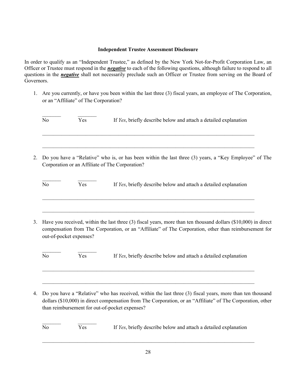# **Independent Trustee Assessment Disclosure**

In order to qualify as an "Independent Trustee," as defined by the New York Not-for-Profit Corporation Law, an Officer or Trustee must respond in the *negative* to each of the following questions, although failure to respond to all questions in the **negative** shall not necessarily preclude such an Officer or Trustee from serving on the Board of Governors.

1. Are you currently, or have you been within the last three (3) fiscal years, an employee of The Corporation, or an "Affiliate" of The Corporation?

| N <sub>0</sub> | Yes                                             | If Yes, briefly describe below and attach a detailed explanation                                                                                                                                                                                                           |  |
|----------------|-------------------------------------------------|----------------------------------------------------------------------------------------------------------------------------------------------------------------------------------------------------------------------------------------------------------------------------|--|
| 2.             | Corporation or an Affiliate of The Corporation? | Do you have a "Relative" who is, or has been within the last three (3) years, a "Key Employee" of The                                                                                                                                                                      |  |
| N <sub>o</sub> | Yes                                             | If Yes, briefly describe below and attach a detailed explanation                                                                                                                                                                                                           |  |
| 3.             | out-of-pocket expenses?                         | Have you received, within the last three $(3)$ fiscal years, more than ten thousand dollars $(\$10,000)$ in direct<br>compensation from The Corporation, or an "Affiliate" of The Corporation, other than reimbursement for                                                |  |
| No             | Yes                                             | If Yes, briefly describe below and attach a detailed explanation                                                                                                                                                                                                           |  |
| 4.             |                                                 | Do you have a "Relative" who has received, within the last three (3) fiscal years, more than ten thousand<br>dollars (\$10,000) in direct compensation from The Corporation, or an "Affiliate" of The Corporation, other<br>than reimbursement for out-of-pocket expenses? |  |
| No             | Yes                                             | If Yes, briefly describe below and attach a detailed explanation                                                                                                                                                                                                           |  |

 $\mathcal{L}_\text{max} = \mathcal{L}_\text{max} = \mathcal{L}_\text{max} = \mathcal{L}_\text{max} = \mathcal{L}_\text{max} = \mathcal{L}_\text{max} = \mathcal{L}_\text{max} = \mathcal{L}_\text{max} = \mathcal{L}_\text{max} = \mathcal{L}_\text{max} = \mathcal{L}_\text{max} = \mathcal{L}_\text{max} = \mathcal{L}_\text{max} = \mathcal{L}_\text{max} = \mathcal{L}_\text{max} = \mathcal{L}_\text{max} = \mathcal{L}_\text{max} = \mathcal{L}_\text{max} = \mathcal{$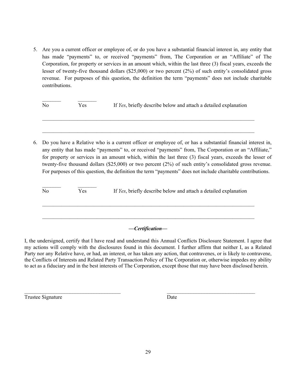5. Are you a current officer or employee of, or do you have a substantial financial interest in, any entity that has made "payments" to, or received "payments" from, The Corporation or an "Affiliate" of The Corporation, for property or services in an amount which, within the last three (3) fiscal years, exceeds the lesser of twenty-five thousand dollars (\$25,000) or two percent (2%) of such entity's consolidated gross revenue. For purposes of this question, the definition the term "payments" does not include charitable contributions.

| N <sub>0</sub> | Yes | If Yes, briefly describe below and attach a detailed explanation |
|----------------|-----|------------------------------------------------------------------|
|                |     |                                                                  |

6. Do you have a Relative who is a current officer or employee of, or has a substantial financial interest in, any entity that has made "payments" to, or received "payments" from, The Corporation or an "Affiliate," for property or services in an amount which, within the last three (3) fiscal years, exceeds the lesser of twenty-five thousand dollars (\$25,000) or two percent (2%) of such entity's consolidated gross revenue. For purposes of this question, the definition the term "payments" does not include charitable contributions.

| N <sub>0</sub> | Yes | If Yes, briefly describe below and attach a detailed explanation |
|----------------|-----|------------------------------------------------------------------|
|                |     |                                                                  |

# *—Certification—*

I, the undersigned, certify that I have read and understand this Annual Conflicts Disclosure Statement. I agree that my actions will comply with the disclosures found in this document. I further affirm that neither I, as a Related Party nor any Relative have, or had, an interest, or has taken any action, that contravenes, or is likely to contravene, the Conflicts of Interests and Related Party Transaction Policy of The Corporation or, otherwise impedes my ability to act as a fiduciary and in the best interests of The Corporation, except those that may have been disclosed herein.

 $\mathcal{L}_\text{max}$  and the contract of the contract of the contract of the contract of the contract of the contract of the contract of the contract of the contract of the contract of the contract of the contract of the contrac Trustee Signature Date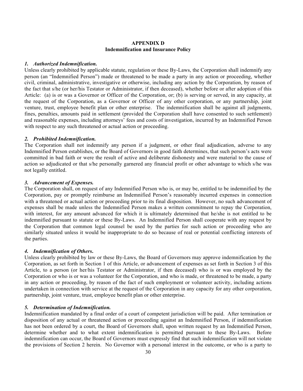# **APPENDIX D Indemnification and Insurance Policy**

# *1. Authorized Indemnification.*

Unless clearly prohibited by applicable statute, regulation or these By-Laws, the Corporation shall indemnify any person (an "Indemnified Person") made or threatened to be made a party in any action or proceeding, whether civil, criminal, administrative, investigative or otherwise, including any action by the Corporation, by reason of the fact that s/he (or her/his Testator or Administrator, if then deceased), whether before or after adoption of this Article: (a) is or was a Governor or Officer of the Corporation, or; (b) is serving or served, in any capacity, at the request of the Corporation, as a Governor or Officer of any other corporation, or any partnership, joint venture, trust, employee benefit plan or other enterprise. The indemnification shall be against all judgments, fines, penalties, amounts paid in settlement (provided the Corporation shall have consented to such settlement) and reasonable expenses, including attorneys' fees and costs of investigation, incurred by an Indemnified Person with respect to any such threatened or actual action or proceeding.

# *2. Prohibited Indemnification.*

The Corporation shall not indemnify any person if a judgment, or other final adjudication, adverse to any Indemnified Person establishes, or the Board of Governors in good faith determines, that such person's acts were committed in bad faith or were the result of active and deliberate dishonesty and were material to the cause of action so adjudicated or that s/he personally garnered any financial profit or other advantage to which s/he was not legally entitled.

# *3. Advancement of Expenses.*

The Corporation shall, on request of any Indemnified Person who is, or may be, entitled to be indemnified by the Corporation, pay or promptly reimburse an Indemnified Person's reasonably incurred expenses in connection with a threatened or actual action or proceeding prior to its final disposition. However, no such advancement of expenses shall be made unless the Indemnified Person makes a written commitment to repay the Corporation, with interest, for any amount advanced for which it is ultimately determined that he/she is not entitled to be indemnified pursuant to statute or these By-Laws. An Indemnified Person shall cooperate with any request by the Corporation that common legal counsel be used by the parties for such action or proceeding who are similarly situated unless it would be inappropriate to do so because of real or potential conflicting interests of the parties.

# *4. Indemnification of Others***.**

Unless clearly prohibited by law or these By-Laws, the Board of Governors may approve indemnification by the Corporation, as set forth in Section 1 of this Article, or advancement of expenses as set forth in Section 3 of this Article, to a person (or her/his Testator or Administrator, if then deceased) who is or was employed by the Corporation or who is or was a volunteer for the Corporation, and who is made, or threatened to be made, a party in any action or proceeding, by reason of the fact of such employment or volunteer activity, including actions undertaken in connection with service at the request of the Corporation in any capacity for any other corporation, partnership, joint venture, trust, employee benefit plan or other enterprise.

### *5. Determination of Indemnification.*

Indemnification mandated by a final order of a court of competent jurisdiction will be paid. After termination or disposition of any actual or threatened action or proceeding against an Indemnified Person, if indemnification has not been ordered by a court, the Board of Governors shall, upon written request by an Indemnified Person, determine whether and to what extent indemnification is permitted pursuant to these By-Laws. Before indemnification can occur, the Board of Governors must expressly find that such indemnification will not violate the provisions of Section 2 herein. No Governor with a personal interest in the outcome, or who is a party to